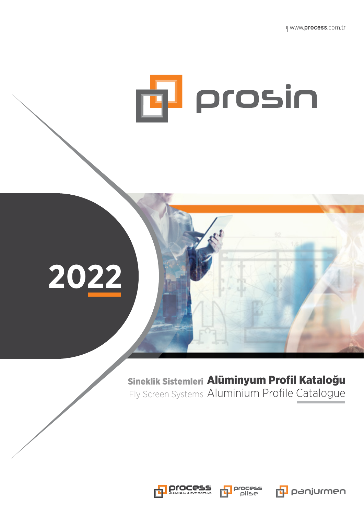



Fly Screen Systems Aluminium Profile Catalogue Sineklik Sistemleri Alüminyum Profil Kataloğu







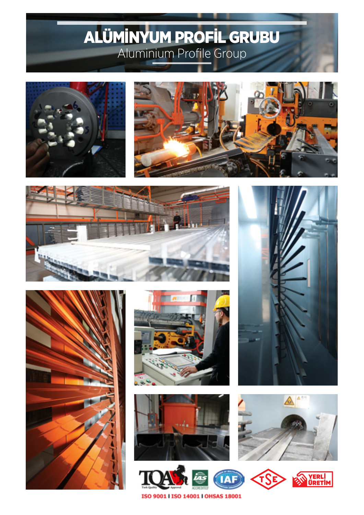# ALÜMİNYUM PROFİL GRUBU Aluminium Profile Group



















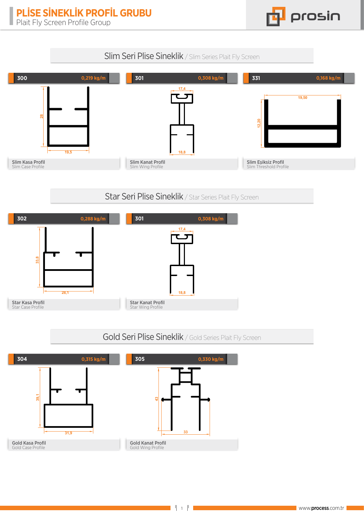

## Slim Seri Plise Sineklik / Slim Series Plait Fly Screen



#### Star Seri Plise Sineklik / Star Series Plait Fly Screen



#### Gold Seri Plise Sineklik / Gold Series Plait Fly Screen

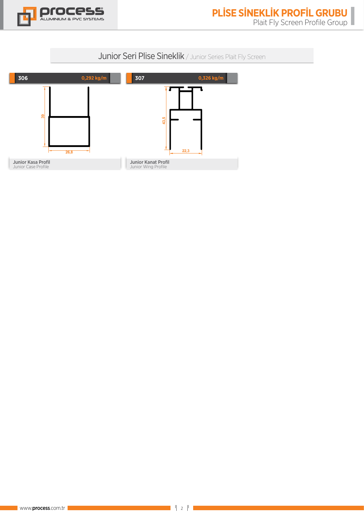

### Junior Seri Plise Sineklik / Junior Series Plait Fly Screen

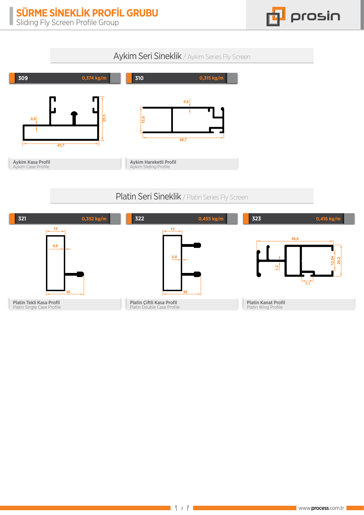

#### Aykim Seri Sineklik / Aykim Series Fly Screen



## Platin Seri Sineklik / Platin Series Fly Screen

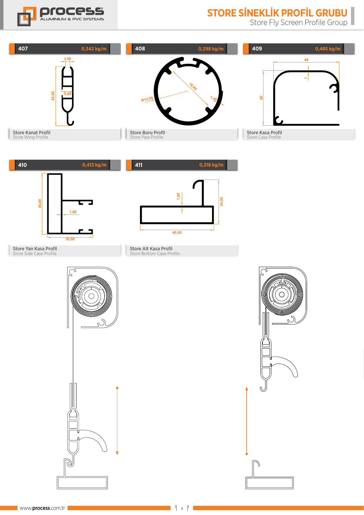

# **STORE SİNEKLİK PROFİL GRUBU**

Store Fly Screen Profile Group

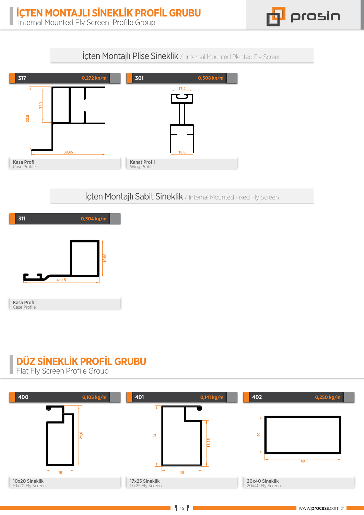prosin

**İçten Montajlı Plise Sineklik** / Internal Mounted Pleated Fly Screen



İçten Montajlı Sabit Sineklik / Internal Mounted Fixed Fly Screen



# **DÜZ SİNEKLİK PROFİL GRUBU**

**Flat Fly Screen Profile Group**